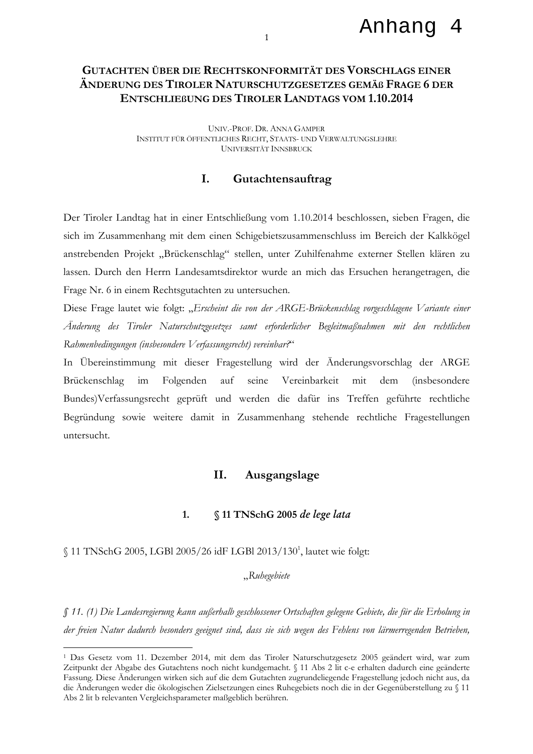### Anhang 4

# **GUTACHTEN ÜBER DIE RECHTSKONFORMITÄT DES VORSCHLAGS EINER** ÄNDERUNG DES TIROLER NATURSCHUTZGESETZES GEMÄß FRAGE 6 DER **ENTSCHLIEBUNG DES TIROLER LANDTAGS VOM 1.10.2014**

UNIV.-PROF. DR. ANNA GAMPER INSTITUT FÜR ÖFFENTLICHES RECHT, STAATS- UND VERWALTUNGSLEHRE **UNIVERSITÄT INNSBRUCK** 

### $\mathbf{L}$ Gutachtensauftrag

Der Tiroler Landtag hat in einer Entschließung vom 1.10.2014 beschlossen, sieben Fragen, die sich im Zusammenhang mit dem einen Schigebietszusammenschluss im Bereich der Kalkkögel anstrebenden Projekt "Brückenschlag" stellen, unter Zuhilfenahme externer Stellen klären zu lassen. Durch den Herrn Landesamtsdirektor wurde an mich das Ersuchen herangetragen, die Frage Nr. 6 in einem Rechtsgutachten zu untersuchen.

Diese Frage lautet wie folgt: "Erscheint die von der ARGE-Brückenschlag vorgeschlagene Variante einer Änderung des Tiroler Naturschutzgesetzes samt erforderlicher Begleitmaßnahmen mit den rechtlichen Rahmenbedingungen (insbesondere Verfassungsrecht) vereinbar?"

In Übereinstimmung mit dieser Fragestellung wird der Änderungsvorschlag der ARGE auf seine Vereinbarkeit Brückenschlag  $im$ Folgenden mit dem *(insbesondere)* Bundes)Verfassungsrecht geprüft und werden die dafür ins Treffen geführte rechtliche Begründung sowie weitere damit in Zusammenhang stehende rechtliche Fragestellungen untersucht.

### Ausgangslage II.

### $1.$ § 11 TNSchG 2005 de lege lata

§ 11 TNSchG 2005, LGBl 2005/26 idF LGBl 2013/130<sup>1</sup>, lautet wie folgt:

### $R$ uhegebiete

§ 11. (1) Die Landesregierung kann außerhalb geschlossener Ortschaften gelegene Gebiete, die für die Erholung in der freien Natur dadurch besonders geeignet sind, dass sie sich wegen des Fehlens von lärmerregenden Betrieben,

<sup>&</sup>lt;sup>1</sup> Das Gesetz vom 11. Dezember 2014, mit dem das Tiroler Naturschutzgesetz 2005 geändert wird, war zum Zeitpunkt der Abgabe des Gutachtens noch nicht kundgemacht. § 11 Abs 2 lit c-e erhalten dadurch eine geänderte Fassung. Diese Änderungen wirken sich auf die dem Gutachten zugrundeliegende Fragestellung jedoch nicht aus, da die Änderungen weder die ökologischen Zielsetzungen eines Ruhegebiets noch die in der Gegenüberstellung zu § 11 Abs 2 lit b relevanten Vergleichsparameter maßgeblich berühren.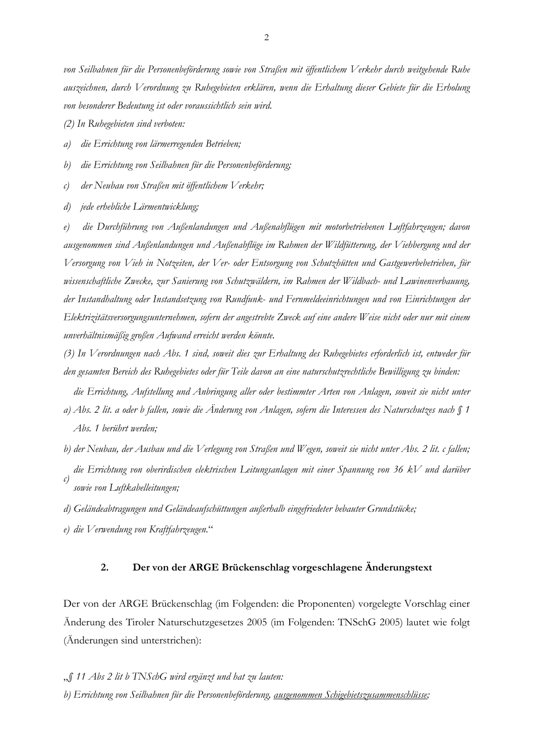von Seilbahnen für die Personenbeförderung sowie von Straßen mit öffentlichem Verkehr durch weitgehende Ruhe auszeichnen, durch Verordnung zu Ruhegebieten erklären, wenn die Erhaltung dieser Gebiete für die Erholung von besonderer Bedeutung ist oder voraussichtlich sein wird.

(2) In Ruhegebieten sind verboten:

 $a)$ die Errichtung von lärmerregenden Betrieben;

die Errichtung von Seilbahnen für die Personenbeförderung;  $(b)$ 

der Neubau von Straßen mit öffentlichem Verkehr;  $\mathcal{C}$ 

jede erhebliche Lärmentwicklung;  $\overline{d}$ 

die Durchführung von Außenlandungen und Außenabflügen mit motorbetriebenen Luftfahrzeugen; davon  $e)$ ausgenommen sind Außenlandungen und Außenabflüge im Rahmen der Wildfütterung, der Viehbergung und der Versorgung von Vieh in Notzeiten, der Ver- oder Entsorgung von Schutzhütten und Gastgewerbebetrieben, für wissenschaftliche Zwecke, zur Sanierung von Schutzwäldern, im Rahmen der Wildbach- und Lawinenverbauung, der Instandhaltung oder Instandsetzung von Rundfunk- und Fernmeldeeinrichtungen und von Einrichtungen der Elektrizitätsversorgungsunternehmen, sofern der angestrebte Zweck auf eine andere Weise nicht oder nur mit einem unverhältnismäßig großen Aufwand erreicht werden könnte.

(3) In Verordnungen nach Abs. 1 sind, soweit dies zur Erhaltung des Ruhegebietes erforderlich ist, entweder für den gesamten Bereich des Ruhegebietes oder für Teile davon an eine naturschutzrechtliche Bewilligung zu binden:

die Errichtung, Aufstellung und Anbringung aller oder bestimmter Arten von Anlagen, soweit sie nicht unter a) Abs. 2 lit. a oder b fallen, sowie die Änderung von Anlagen, sofern die Interessen des Naturschutzes nach § 1 Abs. 1 berührt werden;

b) der Neubau, der Ausbau und die Verlegung von Straßen und Wegen, soweit sie nicht unter Abs. 2 lit. c fallen; die Errichtung von oberirdischen elektrischen Leitungsanlagen mit einer Spannung von 36 kV und darüber  $\mathcal{C}$ 

- sowie von Luftkabelleitungen:
- d) Geländeabtragungen und Geländeaufschüttungen außerhalb eingefriedeter bebauter Grundstücke;

e) die Verwendung von Kraftfahrzeugen."

#### $2.$ Der von der ARGE Brückenschlag vorgeschlagene Änderungstext

Der von der ARGE Brückenschlag (im Folgenden: die Proponenten) vorgelegte Vorschlag einer Änderung des Tiroler Naturschutzgesetzes 2005 (im Folgenden: TNSchG 2005) lautet wie folgt (Änderungen sind unterstrichen):

" $\int$  11 Abs 2 lit b TNSchG wird ergänzt und hat zu lauten:

(b) Errichtung von Seilbahnen für die Personenbeförderung, ausgenommen Schigebietszusammenschlüsse;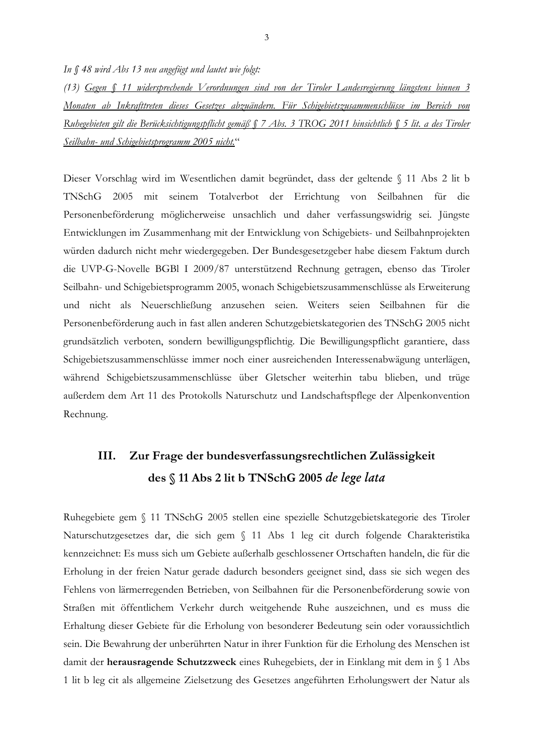In  $$48$  wird Abs 13 neu angefügt und lautet wie folgt:

(13) Gegen § 11 widersprechende Verordnungen sind von der Tiroler Landesregierung längstens binnen 3 Monaten ab Inkrafttreten dieses Gesetzes abzuändern. Für Schigebietszusammenschlüsse im Bereich von Ruhegebieten gilt die Berücksichtigungspflicht gemäß  $\int$  7 Abs. 3 TROG 2011 hinsichtlich  $\int$  5 lit. a des Tiroler Seilbahn- und Schigebietsprogramm 2005 nicht."

Dieser Vorschlag wird im Wesentlichen damit begründet, dass der geltende § 11 Abs 2 lit b TNSchG 2005 mit seinem Totalverbot der Errichtung von Seilbahnen für die Personenbeförderung möglicherweise unsachlich und daher verfassungswidrig sei. Jüngste Entwicklungen im Zusammenhang mit der Entwicklung von Schigebiets- und Seilbahnprojekten würden dadurch nicht mehr wiedergegeben. Der Bundesgesetzgeber habe diesem Faktum durch die UVP-G-Novelle BGBI I 2009/87 unterstützend Rechnung getragen, ebenso das Tiroler Seilbahn- und Schigebietsprogramm 2005, wonach Schigebietszusammenschlüsse als Erweiterung und nicht als Neuerschließung anzusehen seien. Weiters seien Seilbahnen für die Personenbeförderung auch in fast allen anderen Schutzgebietskategorien des TNSchG 2005 nicht grundsätzlich verboten, sondern bewilligungspflichtig. Die Bewilligungspflicht garantiere, dass Schigebietszusammenschlüsse immer noch einer ausreichenden Interessenabwägung unterlägen, während Schigebietszusammenschlüsse über Gletscher weiterhin tabu blieben, und trüge außerdem dem Art 11 des Protokolls Naturschutz und Landschaftspflege der Alpenkonvention Rechnung.

## Zur Frage der bundesverfassungsrechtlichen Zulässigkeit III. des § 11 Abs 2 lit b TNSchG 2005 de lege lata

Ruhegebiete gem § 11 TNSchG 2005 stellen eine spezielle Schutzgebietskategorie des Tiroler Naturschutzgesetzes dar, die sich gem § 11 Abs 1 leg cit durch folgende Charakteristika kennzeichnet: Es muss sich um Gebiete außerhalb geschlossener Ortschaften handeln, die für die Erholung in der freien Natur gerade dadurch besonders geeignet sind, dass sie sich wegen des Fehlens von lärmerregenden Betrieben, von Seilbahnen für die Personenbeförderung sowie von Straßen mit öffentlichem Verkehr durch weitgehende Ruhe auszeichnen, und es muss die Erhaltung dieser Gebiete für die Erholung von besonderer Bedeutung sein oder voraussichtlich sein. Die Bewahrung der unberührten Natur in ihrer Funktion für die Erholung des Menschen ist damit der herausragende Schutzzweck eines Ruhegebiets, der in Einklang mit dem in § 1 Abs 1 lit b leg cit als allgemeine Zielsetzung des Gesetzes angeführten Erholungswert der Natur als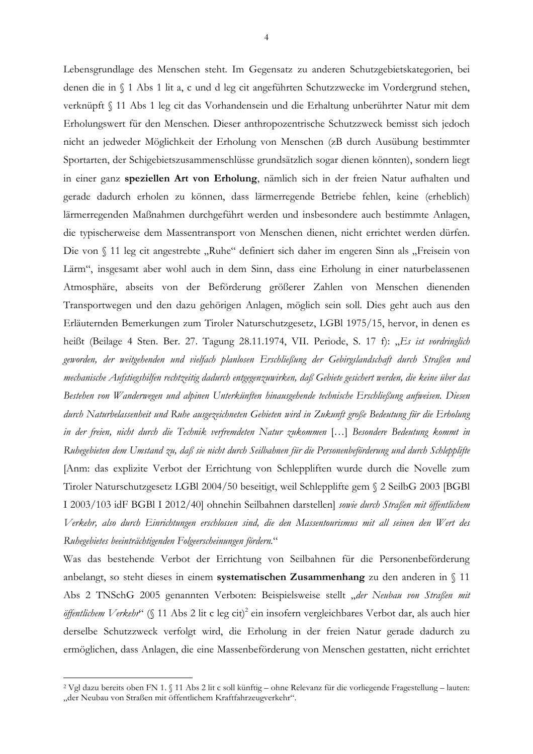Lebensgrundlage des Menschen steht. Im Gegensatz zu anderen Schutzgebietskategorien, bei denen die in § 1 Abs 1 lit a, c und d leg cit angeführten Schutzzwecke im Vordergrund stehen, verknüpft § 11 Abs 1 leg cit das Vorhandensein und die Erhaltung unberührter Natur mit dem Erholungswert für den Menschen. Dieser anthropozentrische Schutzzweck bemisst sich jedoch nicht an jedweder Möglichkeit der Erholung von Menschen (zB durch Ausübung bestimmter Sportarten, der Schigebietszusammenschlüsse grundsätzlich sogar dienen könnten), sondern liegt in einer ganz speziellen Art von Erholung, nämlich sich in der freien Natur aufhalten und gerade dadurch erholen zu können, dass lärmerregende Betriebe fehlen, keine (erheblich) lärmerregenden Maßnahmen durchgeführt werden und insbesondere auch bestimmte Anlagen, die typischerweise dem Massentransport von Menschen dienen, nicht errichtet werden dürfen. Die von § 11 leg cit angestrebte "Ruhe" definiert sich daher im engeren Sinn als "Freisein von Lärm", insgesamt aber wohl auch in dem Sinn, dass eine Erholung in einer naturbelassenen Atmosphäre, abseits von der Beförderung größerer Zahlen von Menschen dienenden Transportwegen und den dazu gehörigen Anlagen, möglich sein soll. Dies geht auch aus den Erläuternden Bemerkungen zum Tiroler Naturschutzgesetz, LGBl 1975/15, hervor, in denen es heißt (Beilage 4 Sten. Ber. 27. Tagung 28.11.1974, VII. Periode, S. 17 f): "Es ist vordringlich geworden, der weitgehenden und vielfach planlosen Erschließung der Gebirgslandschaft durch Straßen und mechanische Aufstiegshilfen rechtzeitig dadurch entgegenzuwirken, daß Gebiete gesichert werden, die keine über das Bestehen von Wanderwegen und alpinen Unterkünften hinausgehende technische Erschließung aufweisen. Diesen durch Naturbelassenheit und Ruhe ausgezeichneten Gebieten wird in Zukunft große Bedeutung für die Erholung in der freien, nicht durch die Technik verfremdeten Natur zukommen [...] Besondere Bedeutung kommt in Ruhegebieten dem Umstand zu, daß sie nicht durch Seilbahnen für die Personenbeförderung und durch Schlepplifte [Anm: das explizite Verbot der Errichtung von Schleppliften wurde durch die Novelle zum Tiroler Naturschutzgesetz LGBl 2004/50 beseitigt, weil Schlepplifte gem § 2 SeilbG 2003 [BGBl] I 2003/103 idF BGBI I 2012/40] ohnehin Seilbahnen darstellen] sowie durch Straßen mit öffentlichem Verkehr, also durch Einrichtungen erschlossen sind, die den Massentourismus mit all seinen den Wert des Ruhegebietes beeinträchtigenden Folgeerscheinungen fördern."

Was das bestehende Verbot der Errichtung von Seilbahnen für die Personenbeförderung anbelangt, so steht dieses in einem systematischen Zusammenhang zu den anderen in  $\langle 11 \rangle$ Abs 2 TNSchG 2005 genannten Verboten: Beispielsweise stellt "der Neubau von Straßen mit öffentlichem Verkehr" (§ 11 Abs 2 lit c leg cit)<sup>2</sup> ein insofern vergleichbares Verbot dar, als auch hier derselbe Schutzzweck verfolgt wird, die Erholung in der freien Natur gerade dadurch zu ermöglichen, dass Anlagen, die eine Massenbeförderung von Menschen gestatten, nicht errichtet

<sup>&</sup>lt;sup>2</sup> Vgl dazu bereits oben FN 1. § 11 Abs 2 lit c soll künftig - ohne Relevanz für die vorliegende Fragestellung - lauten: "der Neubau von Straßen mit öffentlichem Kraftfahrzeugverkehr".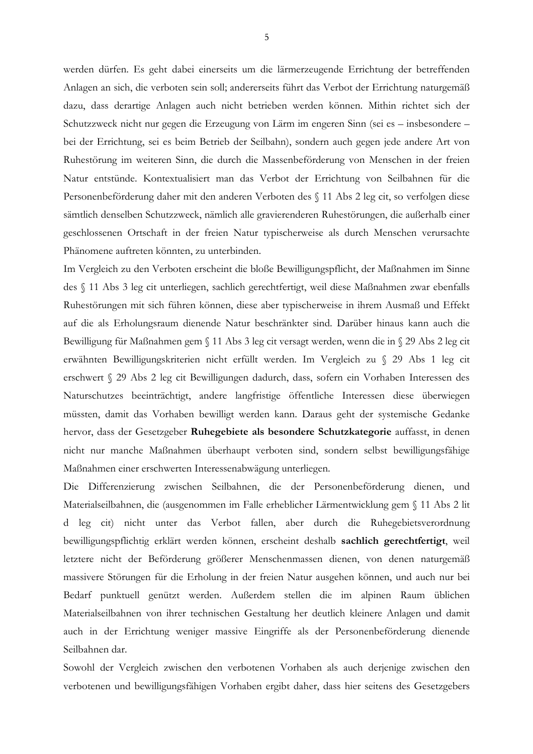werden dürfen. Es geht dabei einerseits um die lärmerzeugende Errichtung der betreffenden Anlagen an sich, die verboten sein soll; andererseits führt das Verbot der Errichtung naturgemäß dazu, dass derartige Anlagen auch nicht betrieben werden können. Mithin richtet sich der Schutzzweck nicht nur gegen die Erzeugung von Lärm im engeren Sinn (sei es – insbesondere – bei der Errichtung, sei es beim Betrieb der Seilbahn), sondern auch gegen jede andere Art von Ruhestörung im weiteren Sinn, die durch die Massenbeförderung von Menschen in der freien Natur entstünde. Kontextualisiert man das Verbot der Errichtung von Seilbahnen für die Personenbeförderung daher mit den anderen Verboten des § 11 Abs 2 leg cit, so verfolgen diese sämtlich denselben Schutzzweck, nämlich alle gravierenderen Ruhestörungen, die außerhalb einer geschlossenen Ortschaft in der freien Natur typischerweise als durch Menschen verursachte Phänomene auftreten könnten, zu unterbinden.

Im Vergleich zu den Verboten erscheint die bloße Bewilligungspflicht, der Maßnahmen im Sinne des § 11 Abs 3 leg cit unterliegen, sachlich gerechtfertigt, weil diese Maßnahmen zwar ebenfalls Ruhestörungen mit sich führen können, diese aber typischerweise in ihrem Ausmaß und Effekt auf die als Erholungsraum dienende Natur beschränkter sind. Darüber hinaus kann auch die Bewilligung für Maßnahmen gem § 11 Abs 3 leg cit versagt werden, wenn die in § 29 Abs 2 leg cit erwähnten Bewilligungskriterien nicht erfüllt werden. Im Vergleich zu § 29 Abs 1 leg cit erschwert § 29 Abs 2 leg cit Bewilligungen dadurch, dass, sofern ein Vorhaben Interessen des Naturschutzes beeinträchtigt, andere langfristige öffentliche Interessen diese überwiegen müssten, damit das Vorhaben bewilligt werden kann. Daraus geht der systemische Gedanke hervor, dass der Gesetzgeber Ruhegebiete als besondere Schutzkategorie auffasst, in denen nicht nur manche Maßnahmen überhaupt verboten sind, sondern selbst bewilligungsfähige Maßnahmen einer erschwerten Interessenabwägung unterliegen.

Die Differenzierung zwischen Seilbahnen, die der Personenbeförderung dienen, und Materialseilbahnen, die (ausgenommen im Falle erheblicher Lärmentwicklung gem § 11 Abs 2 lit d leg cit) nicht unter das Verbot fallen, aber durch die Ruhegebietsverordnung bewilligungspflichtig erklärt werden können, erscheint deshalb sachlich gerechtfertigt, weil letztere nicht der Beförderung größerer Menschenmassen dienen, von denen naturgemäß massivere Störungen für die Erholung in der freien Natur ausgehen können, und auch nur bei Bedarf punktuell genützt werden. Außerdem stellen die im alpinen Raum üblichen Materialseilbahnen von ihrer technischen Gestaltung her deutlich kleinere Anlagen und damit auch in der Errichtung weniger massive Eingriffe als der Personenbeförderung dienende Seilbahnen dar.

Sowohl der Vergleich zwischen den verbotenen Vorhaben als auch derjenige zwischen den verbotenen und bewilligungsfähigen Vorhaben ergibt daher, dass hier seitens des Gesetzgebers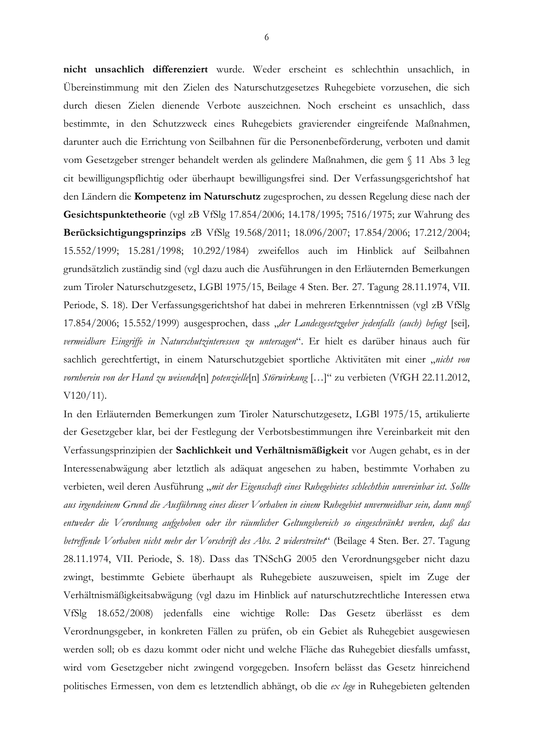nicht unsachlich differenziert wurde. Weder erscheint es schlechthin unsachlich, in Übereinstimmung mit den Zielen des Naturschutzgesetzes Ruhegebiete vorzusehen, die sich durch diesen Zielen dienende Verbote auszeichnen. Noch erscheint es unsachlich, dass bestimmte, in den Schutzzweck eines Ruhegebiets gravierender eingreifende Maßnahmen, darunter auch die Errichtung von Seilbahnen für die Personenbeförderung, verboten und damit vom Gesetzgeber strenger behandelt werden als gelindere Maßnahmen, die gem § 11 Abs 3 leg cit bewilligungspflichtig oder überhaupt bewilligungsfrei sind. Der Verfassungsgerichtshof hat den Ländern die Kompetenz im Naturschutz zugesprochen, zu dessen Regelung diese nach der Gesichtspunktetheorie (vgl zB VfSlg 17.854/2006; 14.178/1995; 7516/1975; zur Wahrung des Berücksichtigungsprinzips zB VfSlg 19.568/2011; 18.096/2007; 17.854/2006; 17.212/2004; 15.552/1999; 15.281/1998; 10.292/1984) zweifellos auch im Hinblick auf Seilbahnen grundsätzlich zuständig sind (vgl dazu auch die Ausführungen in den Erläuternden Bemerkungen zum Tiroler Naturschutzgesetz, LGBl 1975/15, Beilage 4 Sten. Ber. 27. Tagung 28.11.1974, VII. Periode, S. 18). Der Verfassungsgerichtshof hat dabei in mehreren Erkenntnissen (vgl zB VfSlg 17.854/2006; 15.552/1999) ausgesprochen, dass "der Landesgesetzgeber jedenfalls (auch) befugt [sei], vermeidbare Eingriffe in Naturschutzinteressen zu untersagen". Er hielt es darüber hinaus auch für sachlich gerechtfertigt, in einem Naturschutzgebiet sportliche Aktivitäten mit einer "nicht von vornherein von der Hand zu weisende[n] potenzielle[n] Störwirkung [...]" zu verbieten (VfGH 22.11.2012,  $V120/11$ ).

In den Erläuternden Bemerkungen zum Tiroler Naturschutzgesetz, LGBI 1975/15, artikulierte der Gesetzgeber klar, bei der Festlegung der Verbotsbestimmungen ihre Vereinbarkeit mit den Verfassungsprinzipien der Sachlichkeit und Verhältnismäßigkeit vor Augen gehabt, es in der Interessenabwägung aber letztlich als adäquat angesehen zu haben, bestimmte Vorhaben zu verbieten, weil deren Ausführung "mit der Eigenschaft eines Ruhegebietes schlechthin unvereinbar ist. Sollte aus irgendeinem Grund die Ausführung eines dieser Vorhaben in einem Ruhegebiet unvermeidbar sein, dann muß entweder die Verordnung aufgehoben oder ihr räumlicher Geltungsbereich so eingeschränkt werden, daß das betreffende Vorhaben nicht mehr der Vorschrift des Abs. 2 widerstreitet" (Beilage 4 Sten. Ber. 27. Tagung 28.11.1974, VII. Periode, S. 18). Dass das TNSchG 2005 den Verordnungsgeber nicht dazu zwingt, bestimmte Gebiete überhaupt als Ruhegebiete auszuweisen, spielt im Zuge der Verhältnismäßigkeitsabwägung (vgl dazu im Hinblick auf naturschutzrechtliche Interessen etwa VfSlg 18.652/2008) jedenfalls eine wichtige Rolle: Das Gesetz überlässt es dem Verordnungsgeber, in konkreten Fällen zu prüfen, ob ein Gebiet als Ruhegebiet ausgewiesen werden soll; ob es dazu kommt oder nicht und welche Fläche das Ruhegebiet diesfalls umfasst, wird vom Gesetzgeber nicht zwingend vorgegeben. Insofern belässt das Gesetz hinreichend politisches Ermessen, von dem es letztendlich abhängt, ob die ex lege in Ruhegebieten geltenden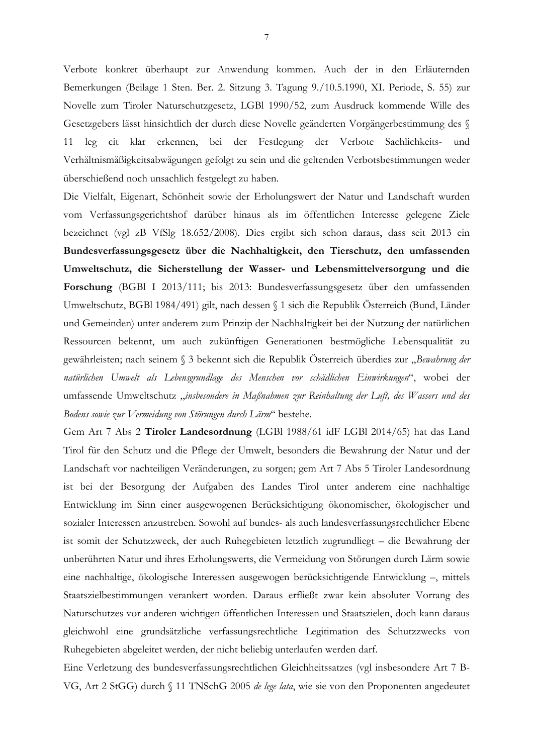Verbote konkret überhaupt zur Anwendung kommen. Auch der in den Erläuternden Bemerkungen (Beilage 1 Sten. Ber. 2. Sitzung 3. Tagung 9./10.5.1990, XI. Periode, S. 55) zur Novelle zum Tiroler Naturschutzgesetz, LGBl 1990/52, zum Ausdruck kommende Wille des Gesetzgebers lässt hinsichtlich der durch diese Novelle geänderten Vorgängerbestimmung des § leg cit klar erkennen, bei der Festlegung der Verbote Sachlichkeits-11 und Verhältnismäßigkeitsabwägungen gefolgt zu sein und die geltenden Verbotsbestimmungen weder überschießend noch unsachlich festgelegt zu haben.

Die Vielfalt, Eigenart, Schönheit sowie der Erholungswert der Natur und Landschaft wurden vom Verfassungsgerichtshof darüber hinaus als im öffentlichen Interesse gelegene Ziele bezeichnet (vgl zB VfSlg 18.652/2008). Dies ergibt sich schon daraus, dass seit 2013 ein Bundesverfassungsgesetz über die Nachhaltigkeit, den Tierschutz, den umfassenden Umweltschutz, die Sicherstellung der Wasser- und Lebensmittelversorgung und die Forschung (BGBI I 2013/111; bis 2013: Bundesverfassungsgesetz über den umfassenden Umweltschutz, BGBl 1984/491) gilt, nach dessen § 1 sich die Republik Österreich (Bund, Länder und Gemeinden) unter anderem zum Prinzip der Nachhaltigkeit bei der Nutzung der natürlichen Ressourcen bekennt, um auch zukünftigen Generationen bestmögliche Lebensqualität zu gewährleisten; nach seinem § 3 bekennt sich die Republik Österreich überdies zur "Bewahrung der natürlichen Umwelt als Lebensgrundlage des Menschen vor schädlichen Einwirkungen", wobei der umfassende Umweltschutz "insbesondere in Maßnahmen zur Reinhaltung der Luft, des Wassers und des Bodens sowie zur Vermeidung von Störungen durch Lärm" bestehe.

Gem Art 7 Abs 2 Tiroler Landesordnung (LGBI 1988/61 idF LGBI 2014/65) hat das Land Tirol für den Schutz und die Pflege der Umwelt, besonders die Bewahrung der Natur und der Landschaft vor nachteiligen Veränderungen, zu sorgen; gem Art 7 Abs 5 Tiroler Landesordnung ist bei der Besorgung der Aufgaben des Landes Tirol unter anderem eine nachhaltige Entwicklung im Sinn einer ausgewogenen Berücksichtigung ökonomischer, ökologischer und sozialer Interessen anzustreben. Sowohl auf bundes- als auch landesverfassungsrechtlicher Ebene ist somit der Schutzzweck, der auch Ruhegebieten letztlich zugrundliegt – die Bewahrung der unberührten Natur und ihres Erholungswerts, die Vermeidung von Störungen durch Lärm sowie eine nachhaltige, ökologische Interessen ausgewogen berücksichtigende Entwicklung –, mittels Staatszielbestimmungen verankert worden. Daraus erfließt zwar kein absoluter Vorrang des Naturschutzes vor anderen wichtigen öffentlichen Interessen und Staatszielen, doch kann daraus gleichwohl eine grundsätzliche verfassungsrechtliche Legitimation des Schutzzwecks von Ruhegebieten abgeleitet werden, der nicht beliebig unterlaufen werden darf.

Eine Verletzung des bundesverfassungsrechtlichen Gleichheitssatzes (vgl insbesondere Art 7 B-VG, Art 2 StGG) durch § 11 TNSchG 2005 de lege lata, wie sie von den Proponenten angedeutet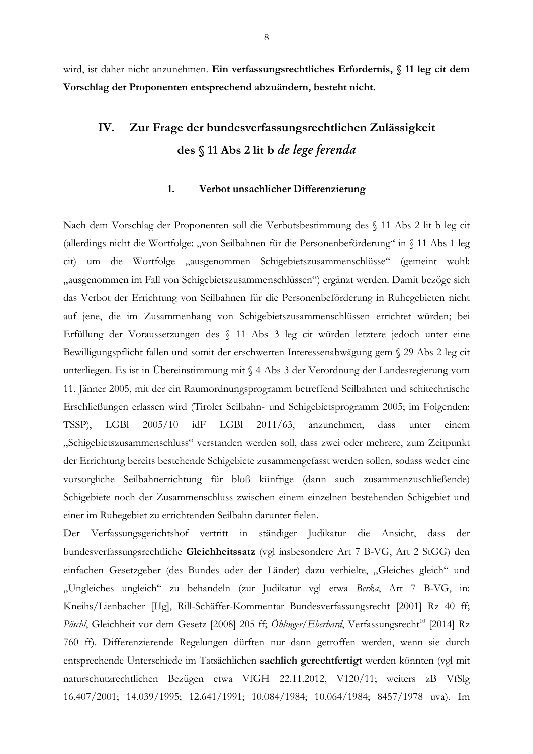wird, ist daher nicht anzunehmen. Ein verfassungsrechtliches Erfordernis, § 11 leg cit dem Vorschlag der Proponenten entsprechend abzuändern, besteht nicht.

### IV. Zur Frage der bundesverfassungsrechtlichen Zulässigkeit des § 11 Abs 2 lit b de lege ferenda

#### $1.$ Verbot unsachlicher Differenzierung

Nach dem Vorschlag der Proponenten soll die Verbotsbestimmung des § 11 Abs 2 lit b leg cit (allerdings nicht die Wortfolge: "von Seilbahnen für die Personenbeförderung" in § 11 Abs 1 leg cit) um die Wortfolge "ausgenommen Schigebietszusammenschlüsse" (gemeint wohl: "ausgenommen im Fall von Schigebietszusammenschlüssen") ergänzt werden. Damit bezöge sich das Verbot der Errichtung von Seilbahnen für die Personenbeförderung in Ruhegebieten nicht auf jene, die im Zusammenhang von Schigebietszusammenschlüssen errichtet würden; bei Erfüllung der Voraussetzungen des § 11 Abs 3 leg cit würden letztere jedoch unter eine Bewilligungspflicht fallen und somit der erschwerten Interessenabwägung gem § 29 Abs 2 leg cit unterliegen. Es ist in Übereinstimmung mit § 4 Abs 3 der Verordnung der Landesregierung vom 11. Jänner 2005, mit der ein Raumordnungsprogramm betreffend Seilbahnen und schitechnische Erschließungen erlassen wird (Tiroler Seilbahn- und Schigebietsprogramm 2005; im Folgenden: TSSP), **LGB**  $2005/10$  $idF$ **LGBI**  $2011/63$ , anzunehmen, dass unter einem "Schigebietszusammenschluss" verstanden werden soll, dass zwei oder mehrere, zum Zeitpunkt der Errichtung bereits bestehende Schigebiete zusammengefasst werden sollen, sodass weder eine vorsorgliche Seilbahnerrichtung für bloß künftige (dann auch zusammenzuschließende) Schigebiete noch der Zusammenschluss zwischen einem einzelnen bestehenden Schigebiet und einer im Ruhegebiet zu errichtenden Seilbahn darunter fielen.

Der Verfassungsgerichtshof vertritt in ständiger Judikatur die Ansicht, dass der bundesverfassungsrechtliche Gleichheitssatz (vgl insbesondere Art 7 B-VG, Art 2 StGG) den einfachen Gesetzgeber (des Bundes oder der Länder) dazu verhielte, "Gleiches gleich" und "Ungleiches ungleich" zu behandeln (zur Judikatur vgl etwa Berka, Art 7 B-VG, in: Kneihs/Lienbacher [Hg], Rill-Schäffer-Kommentar Bundesverfassungsrecht [2001] Rz 40 ff; Pöschl, Gleichheit vor dem Gesetz [2008] 205 ff; Öhlinger/Eberhard, Verfassungsrecht<sup>10</sup> [2014] Rz 760 ff). Differenzierende Regelungen dürften nur dann getroffen werden, wenn sie durch entsprechende Unterschiede im Tatsächlichen sachlich gerechtfertigt werden könnten (vgl mit naturschutzrechtlichen Bezügen etwa VfGH 22.11.2012, V120/11; weiters zB VfSlg 16.407/2001; 14.039/1995; 12.641/1991; 10.084/1984; 10.064/1984; 8457/1978 uva). Im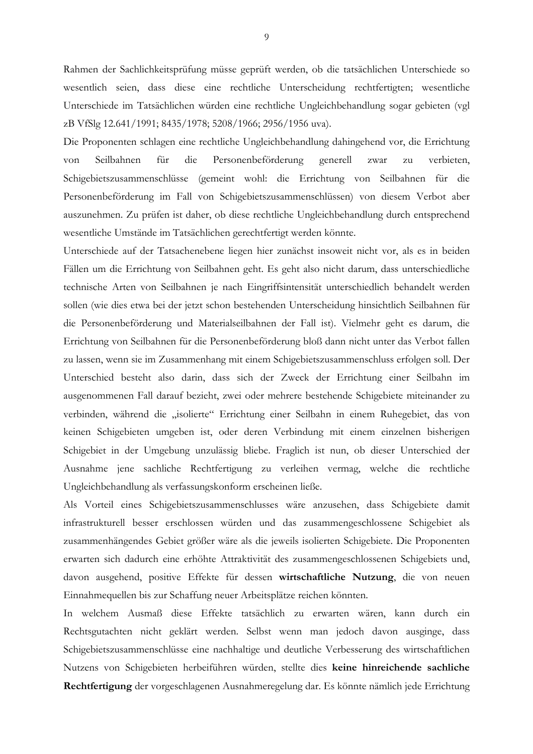Rahmen der Sachlichkeitsprüfung müsse geprüft werden, ob die tatsächlichen Unterschiede so wesentlich seien, dass diese eine rechtliche Unterscheidung rechtfertigten; wesentliche Unterschiede im Tatsächlichen würden eine rechtliche Ungleichbehandlung sogar gebieten (vgl zB VfSlg 12.641/1991; 8435/1978; 5208/1966; 2956/1956 uva).

Die Proponenten schlagen eine rechtliche Ungleichbehandlung dahingehend vor, die Errichtung für die von Seilbahnen Personenbeförderung generell zwar zu verbieten, Schigebietszusammenschlüsse (gemeint wohl: die Errichtung von Seilbahnen für die Personenbeförderung im Fall von Schigebietszusammenschlüssen) von diesem Verbot aber auszunehmen. Zu prüfen ist daher, ob diese rechtliche Ungleichbehandlung durch entsprechend wesentliche Umstände im Tatsächlichen gerechtfertigt werden könnte.

Unterschiede auf der Tatsachenebene liegen hier zunächst insoweit nicht vor, als es in beiden Fällen um die Errichtung von Seilbahnen geht. Es geht also nicht darum, dass unterschiedliche technische Arten von Seilbahnen je nach Eingriffsintensität unterschiedlich behandelt werden sollen (wie dies etwa bei der jetzt schon bestehenden Unterscheidung hinsichtlich Seilbahnen für die Personenbeförderung und Materialseilbahnen der Fall ist). Vielmehr geht es darum, die Errichtung von Seilbahnen für die Personenbeförderung bloß dann nicht unter das Verbot fallen zu lassen, wenn sie im Zusammenhang mit einem Schigebietszusammenschluss erfolgen soll. Der Unterschied besteht also darin, dass sich der Zweck der Errichtung einer Seilbahn im ausgenommenen Fall darauf bezieht, zwei oder mehrere bestehende Schigebiete miteinander zu verbinden, während die "isolierte" Errichtung einer Seilbahn in einem Ruhegebiet, das von keinen Schigebieten umgeben ist, oder deren Verbindung mit einem einzelnen bisherigen Schigebiet in der Umgebung unzulässig bliebe. Fraglich ist nun, ob dieser Unterschied der Ausnahme jene sachliche Rechtfertigung zu verleihen vermag, welche die rechtliche Ungleichbehandlung als verfassungskonform erscheinen ließe.

Als Vorteil eines Schigebietszusammenschlusses wäre anzusehen, dass Schigebiete damit infrastrukturell besser erschlossen würden und das zusammengeschlossene Schigebiet als zusammenhängendes Gebiet größer wäre als die jeweils isolierten Schigebiete. Die Proponenten erwarten sich dadurch eine erhöhte Attraktivität des zusammengeschlossenen Schigebiets und, davon ausgehend, positive Effekte für dessen wirtschaftliche Nutzung, die von neuen Einnahmequellen bis zur Schaffung neuer Arbeitsplätze reichen könnten.

In welchem Ausmaß diese Effekte tatsächlich zu erwarten wären, kann durch ein Rechtsgutachten nicht geklärt werden. Selbst wenn man jedoch davon ausginge, dass Schigebietszusammenschlüsse eine nachhaltige und deutliche Verbesserung des wirtschaftlichen Nutzens von Schigebieten herbeiführen würden, stellte dies keine hinreichende sachliche Rechtfertigung der vorgeschlagenen Ausnahmeregelung dar. Es könnte nämlich jede Errichtung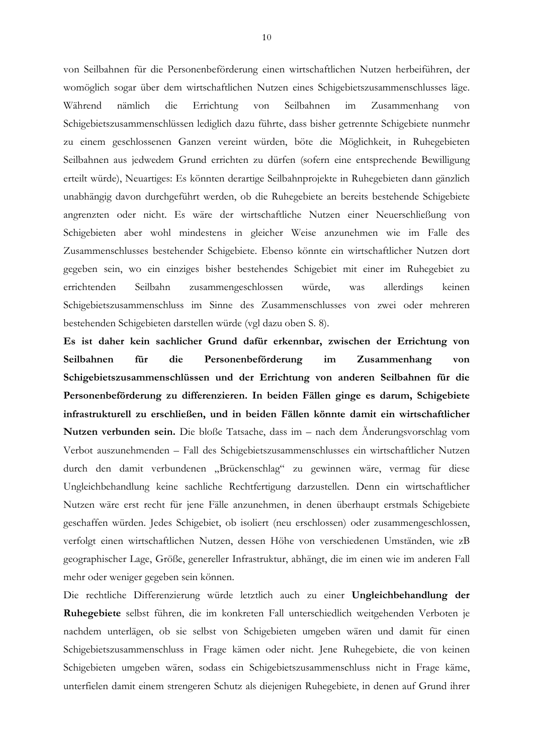von Seilbahnen für die Personenbeförderung einen wirtschaftlichen Nutzen herbeiführen, der womöglich sogar über dem wirtschaftlichen Nutzen eines Schigebietszusammenschlusses läge. Während nämlich die Errichtung  $v \circ n$ Seilhahnen  $im$ Zusammenhang  $v \circ n$ Schigebietszusammenschlüssen lediglich dazu führte, dass bisher getrennte Schigebiete nunmehr zu einem geschlossenen Ganzen vereint würden, böte die Möglichkeit, in Ruhegebieten Seilbahnen aus jedwedem Grund errichten zu dürfen (sofern eine entsprechende Bewilligung erteilt würde), Neuartiges: Es könnten derartige Seilbahnprojekte in Ruhegebieten dann gänzlich unabhängig davon durchgeführt werden, ob die Ruhegebiete an bereits bestehende Schigebiete angrenzten oder nicht. Es wäre der wirtschaftliche Nutzen einer Neuerschließung von Schigebieten aber wohl mindestens in gleicher Weise anzunehmen wie im Falle des Zusammenschlusses bestehender Schigebiete. Ebenso könnte ein wirtschaftlicher Nutzen dort gegeben sein, wo ein einziges bisher bestehendes Schigebiet mit einer im Ruhegebiet zu errichtenden Seilbahn zusammengeschlossen würde. allerdings keinen was Schigebietszusammenschluss im Sinne des Zusammenschlusses von zwei oder mehreren bestehenden Schigebieten darstellen würde (vgl dazu oben S. 8).

Es ist daher kein sachlicher Grund dafür erkennbar, zwischen der Errichtung von Seilbahnen für die Personenbeförderung im Zusammenhang von Schigebietszusammenschlüssen und der Errichtung von anderen Seilbahnen für die Personenbeförderung zu differenzieren. In beiden Fällen ginge es darum, Schigebiete infrastrukturell zu erschließen, und in beiden Fällen könnte damit ein wirtschaftlicher Nutzen verbunden sein. Die bloße Tatsache, dass im – nach dem Änderungsvorschlag vom Verbot auszunehmenden – Fall des Schigebietszusammenschlusses ein wirtschaftlicher Nutzen durch den damit verbundenen "Brückenschlag" zu gewinnen wäre, vermag für diese Ungleichbehandlung keine sachliche Rechtfertigung darzustellen. Denn ein wirtschaftlicher Nutzen wäre erst recht für jene Fälle anzunehmen, in denen überhaupt erstmals Schigebiete geschaffen würden. Jedes Schigebiet, ob isoliert (neu erschlossen) oder zusammengeschlossen, verfolgt einen wirtschaftlichen Nutzen, dessen Höhe von verschiedenen Umständen, wie zB geographischer Lage, Größe, genereller Infrastruktur, abhängt, die im einen wie im anderen Fall mehr oder weniger gegeben sein können.

Die rechtliche Differenzierung würde letztlich auch zu einer Ungleichbehandlung der Ruhegebiete selbst führen, die im konkreten Fall unterschiedlich weitgehenden Verboten je nachdem unterlägen, ob sie selbst von Schigebieten umgeben wären und damit für einen Schigebietszusammenschluss in Frage kämen oder nicht. Jene Ruhegebiete, die von keinen Schigebieten umgeben wären, sodass ein Schigebietszusammenschluss nicht in Frage käme, unterfielen damit einem strengeren Schutz als diejenigen Ruhegebiete, in denen auf Grund ihrer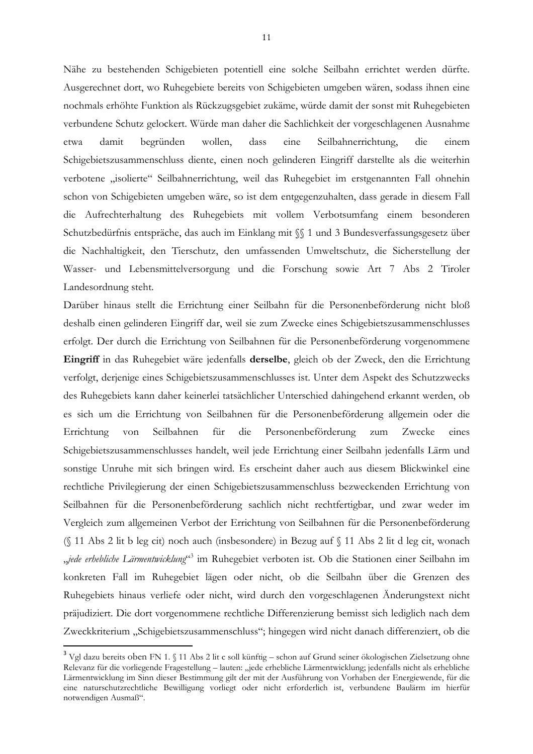Nähe zu bestehenden Schigebieten potentiell eine solche Seilbahn errichtet werden dürfte. Ausgerechnet dort, wo Ruhegebiete bereits von Schigebieten umgeben wären, sodass ihnen eine nochmals erhöhte Funktion als Rückzugsgebiet zukäme, würde damit der sonst mit Ruhegebieten verbundene Schutz gelockert. Würde man daher die Sachlichkeit der vorgeschlagenen Ausnahme wollen, dass damit begründen eine Seilbahnerrichtung, die einem etwa Schigebietszusammenschluss diente, einen noch gelinderen Eingriff darstellte als die weiterhin verbotene "isolierte" Seilbahnerrichtung, weil das Ruhegebiet im erstgenannten Fall ohnehin schon von Schigebieten umgeben wäre, so ist dem entgegenzuhalten, dass gerade in diesem Fall die Aufrechterhaltung des Ruhegebiets mit vollem Verbotsumfang einem besonderen Schutzbedürfnis entspräche, das auch im Einklang mit SS 1 und 3 Bundesverfassungsgesetz über die Nachhaltigkeit, den Tierschutz, den umfassenden Umweltschutz, die Sicherstellung der Wasser- und Lebensmittelversorgung und die Forschung sowie Art 7 Abs 2 Tiroler Landesordnung steht.

Darüber hinaus stellt die Errichtung einer Seilbahn für die Personenbeförderung nicht bloß deshalb einen gelinderen Eingriff dar, weil sie zum Zwecke eines Schigebietszusammenschlusses erfolgt. Der durch die Errichtung von Seilbahnen für die Personenbeförderung vorgenommene Eingriff in das Ruhegebiet wäre jedenfalls derselbe, gleich ob der Zweck, den die Errichtung verfolgt, derjenige eines Schigebietszusammenschlusses ist. Unter dem Aspekt des Schutzzwecks des Ruhegebiets kann daher keinerlei tatsächlicher Unterschied dahingehend erkannt werden, ob es sich um die Errichtung von Seilbahnen für die Personenbeförderung allgemein oder die Errichtung Seilbahnen Personenbeförderung zum von für die Zwecke eines Schigebietszusammenschlusses handelt, weil jede Errichtung einer Seilbahn jedenfalls Lärm und sonstige Unruhe mit sich bringen wird. Es erscheint daher auch aus diesem Blickwinkel eine rechtliche Privilegierung der einen Schigebietszusammenschluss bezweckenden Errichtung von Seilbahnen für die Personenbeförderung sachlich nicht rechtfertigbar, und zwar weder im Vergleich zum allgemeinen Verbot der Errichtung von Seilbahnen für die Personenbeförderung (§ 11 Abs 2 lit b leg cit) noch auch (insbesondere) in Bezug auf § 11 Abs 2 lit d leg cit, wonach *jede erhebliche Lärmentwicklung*<sup>63</sup> im Ruhegebiet verboten ist. Ob die Stationen einer Seilbahn im konkreten Fall im Ruhegebiet lägen oder nicht, ob die Seilbahn über die Grenzen des Ruhegebiets hinaus verliefe oder nicht, wird durch den vorgeschlagenen Änderungstext nicht präjudiziert. Die dort vorgenommene rechtliche Differenzierung bemisst sich lediglich nach dem Zweckkriterium "Schigebietszusammenschluss"; hingegen wird nicht danach differenziert, ob die

<sup>&</sup>lt;sup>3</sup> Vgl dazu bereits oben FN 1. § 11 Abs 2 lit c soll künftig – schon auf Grund seiner ökologischen Zielsetzung ohne Relevanz für die vorliegende Fragestellung - lauten: "jede erhebliche Lärmentwicklung; jedenfalls nicht als erhebliche Lärmentwicklung im Sinn dieser Bestimmung gilt der mit der Ausführung von Vorhaben der Energiewende, für die eine naturschutzrechtliche Bewilligung vorliegt oder nicht erforderlich ist, verbundene Baulärm im hierfür notwendigen Ausmaß".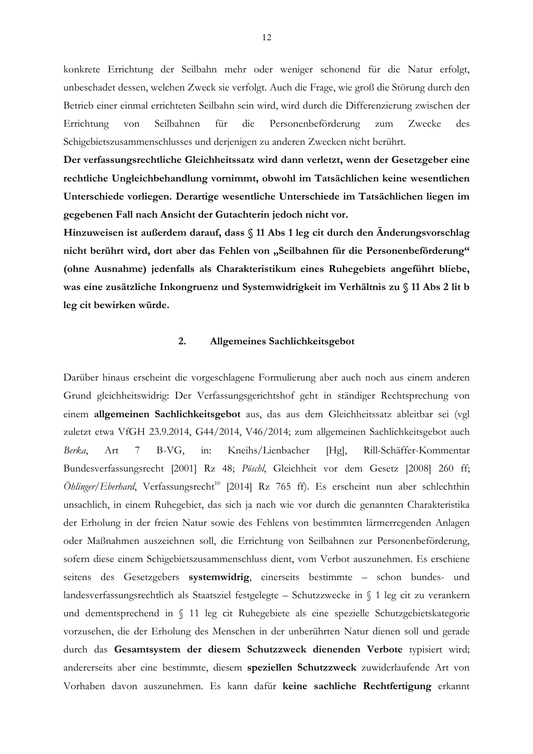konkrete Errichtung der Seilbahn mehr oder weniger schonend für die Natur erfolgt, unbeschadet dessen, welchen Zweck sie verfolgt. Auch die Frage, wie groß die Störung durch den Betrieb einer einmal errichteten Seilbahn sein wird, wird durch die Differenzierung zwischen der für Errichtung  $v \circ n$ Seilbahnen die Personenbeförderung zum Zwecke  $des$ Schigebietszusammenschlusses und derjenigen zu anderen Zwecken nicht berührt.

Der verfassungsrechtliche Gleichheitssatz wird dann verletzt, wenn der Gesetzgeber eine rechtliche Ungleichbehandlung vornimmt, obwohl im Tatsächlichen keine wesentlichen Unterschiede vorliegen. Derartige wesentliche Unterschiede im Tatsächlichen liegen im gegebenen Fall nach Ansicht der Gutachterin jedoch nicht vor.

Hinzuweisen ist außerdem darauf, dass § 11 Abs 1 leg cit durch den Änderungsvorschlag nicht berührt wird, dort aber das Fehlen von "Seilbahnen für die Personenbeförderung" (ohne Ausnahme) jedenfalls als Charakteristikum eines Ruhegebiets angeführt bliebe, was eine zusätzliche Inkongruenz und Systemwidrigkeit im Verhältnis zu § 11 Abs 2 lit b leg cit bewirken würde.

#### $\overline{2}$ . Allgemeines Sachlichkeitsgebot

Darüber hinaus erscheint die vorgeschlagene Formulierung aber auch noch aus einem anderen Grund gleichheitswidrig: Der Verfassungsgerichtshof geht in ständiger Rechtsprechung von einem allgemeinen Sachlichkeitsgebot aus, das aus dem Gleichheitssatz ableitbar sei (vgl zuletzt etwa VfGH 23.9.2014, G44/2014, V46/2014; zum allgemeinen Sachlichkeitsgebot auch Berka  $Art$  $7\overline{ }$  $B-VG$ .  $in:$ Kneihs/Lienbacher  $[Hg]$ , Rill-Schäffer-Kommentar Bundesverfassungsrecht [2001] Rz 48; Pöschl, Gleichheit vor dem Gesetz [2008] 260 ff; Öhlinger/Eberhard, Verfassungsrecht<sup>10</sup> [2014] Rz 765 ff). Es erscheint nun aber schlechthin unsachlich, in einem Ruhegebiet, das sich ja nach wie vor durch die genannten Charakteristika der Erholung in der freien Natur sowie des Fehlens von bestimmten lärmerregenden Anlagen oder Maßnahmen auszeichnen soll, die Errichtung von Seilbahnen zur Personenbeförderung, sofern diese einem Schigebietszusammenschluss dient, vom Verbot auszunehmen. Es erschiene seitens des Gesetzgebers systemwidrig, einerseits bestimmte - schon bundes- und landesverfassungsrechtlich als Staatsziel festgelegte – Schutzzwecke in  $\int$  1 leg cit zu verankern und dementsprechend in § 11 leg cit Ruhegebiete als eine spezielle Schutzgebietskategorie vorzusehen, die der Erholung des Menschen in der unberührten Natur dienen soll und gerade durch das Gesamtsystem der diesem Schutzzweck dienenden Verbote typisiert wird; andererseits aber eine bestimmte, diesem speziellen Schutzzweck zuwiderlaufende Art von Vorhaben davon auszunehmen. Es kann dafür keine sachliche Rechtfertigung erkannt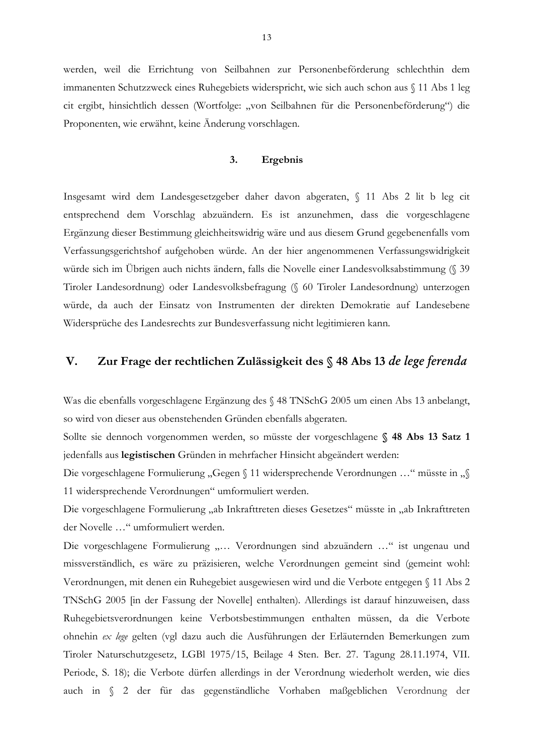werden, weil die Errichtung von Seilbahnen zur Personenbeförderung schlechthin dem immanenten Schutzzweck eines Ruhegebiets widerspricht, wie sich auch schon aus § 11 Abs 1 leg cit ergibt, hinsichtlich dessen (Wortfolge: "von Seilbahnen für die Personenbeförderung") die Proponenten, wie erwähnt, keine Änderung vorschlagen.

#### 3. Ergebnis

Insgesamt wird dem Landesgesetzgeber daher davon abgeraten, § 11 Abs 2 lit b leg cit entsprechend dem Vorschlag abzuändern. Es ist anzunehmen, dass die vorgeschlagene Ergänzung dieser Bestimmung gleichheitswidrig wäre und aus diesem Grund gegebenenfalls vom Verfassungsgerichtshof aufgehoben würde. An der hier angenommenen Verfassungswidrigkeit würde sich im Übrigen auch nichts ändern, falls die Novelle einer Landesvolksabstimmung (§ 39 Tiroler Landesordnung) oder Landesvolksbefragung (§ 60 Tiroler Landesordnung) unterzogen würde, da auch der Einsatz von Instrumenten der direkten Demokratie auf Landesebene Widersprüche des Landesrechts zur Bundesverfassung nicht legitimieren kann.

### Zur Frage der rechtlichen Zulässigkeit des § 48 Abs 13 de lege ferenda  $V_{\cdot}$

Was die ebenfalls vorgeschlagene Ergänzung des § 48 TNSchG 2005 um einen Abs 13 anbelangt, so wird von dieser aus obenstehenden Gründen ebenfalls abgeraten.

Sollte sie dennoch vorgenommen werden, so müsste der vorgeschlagene § 48 Abs 13 Satz 1 jedenfalls aus legistischen Gründen in mehrfacher Hinsicht abgeändert werden:

Die vorgeschlagene Formulierung "Gegen § 11 widersprechende Verordnungen ..." müsste in "§ 11 widersprechende Verordnungen" umformuliert werden.

Die vorgeschlagene Formulierung "ab Inkrafttreten dieses Gesetzes" müsste in "ab Inkrafttreten der Novelle ..." umformuliert werden.

Die vorgeschlagene Formulierung "... Verordnungen sind abzuändern ..." ist ungenau und missverständlich, es wäre zu präzisieren, welche Verordnungen gemeint sind (gemeint wohl: Verordnungen, mit denen ein Ruhegebiet ausgewiesen wird und die Verbote entgegen § 11 Abs 2 TNSchG 2005 [in der Fassung der Novelle] enthalten). Allerdings ist darauf hinzuweisen, dass Ruhegebietsverordnungen keine Verbotsbestimmungen enthalten müssen, da die Verbote ohnehin ex lege gelten (vgl dazu auch die Ausführungen der Erläuternden Bemerkungen zum Tiroler Naturschutzgesetz, LGBl 1975/15, Beilage 4 Sten. Ber. 27. Tagung 28.11.1974, VII. Periode, S. 18); die Verbote dürfen allerdings in der Verordnung wiederholt werden, wie dies auch in § 2 der für das gegenständliche Vorhaben maßgeblichen Verordnung der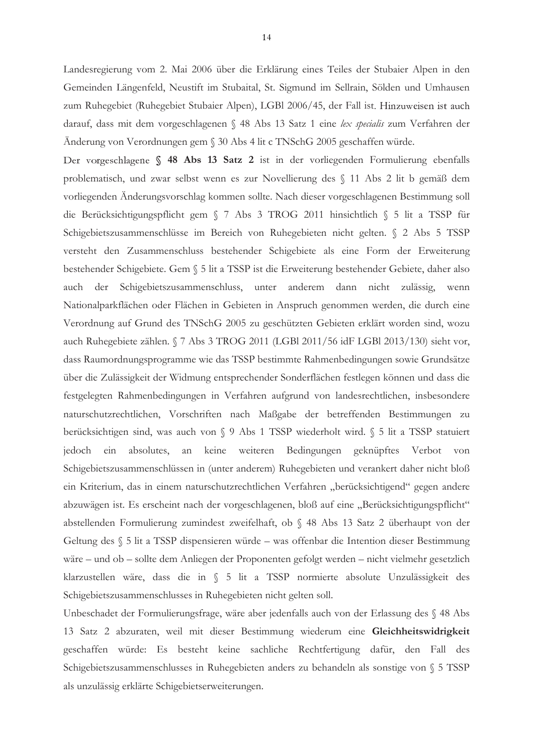Landesregierung vom 2. Mai 2006 über die Erklärung eines Teiles der Stubaier Alpen in den Gemeinden Längenfeld, Neustift im Stubaital, St. Sigmund im Sellrain, Sölden und Umhausen zum Ruhegebiet (Ruhegebiet Stubaier Alpen), LGBl 2006/45, der Fall ist. Hinzuweisen ist auch darauf, dass mit dem vorgeschlagenen § 48 Abs 13 Satz 1 eine lex specialis zum Verfahren der Änderung von Verordnungen gem § 30 Abs 4 lit c TNSchG 2005 geschaffen würde.

Der vorgeschlagene § 48 Abs 13 Satz 2 ist in der vorliegenden Formulierung ebenfalls problematisch, und zwar selbst wenn es zur Novellierung des § 11 Abs 2 lit b gemäß dem vorliegenden Änderungsvorschlag kommen sollte. Nach dieser vorgeschlagenen Bestimmung soll die Berücksichtigungspflicht gem § 7 Abs 3 TROG 2011 hinsichtlich § 5 lit a TSSP für Schigebietszusammenschlüsse im Bereich von Ruhegebieten nicht gelten. § 2 Abs 5 TSSP versteht den Zusammenschluss bestehender Schigebiete als eine Form der Erweiterung bestehender Schigebiete. Gem § 5 lit a TSSP ist die Erweiterung bestehender Gebiete, daher also nicht zulässig, Schigebietszusammenschluss, unter anderem dann auch der wenn Nationalparkflächen oder Flächen in Gebieten in Anspruch genommen werden, die durch eine Verordnung auf Grund des TNSchG 2005 zu geschützten Gebieten erklärt worden sind, wozu auch Ruhegebiete zählen. § 7 Abs 3 TROG 2011 (LGBI 2011/56 idF LGBI 2013/130) sieht vor, dass Raumordnungsprogramme wie das TSSP bestimmte Rahmenbedingungen sowie Grundsätze über die Zulässigkeit der Widmung entsprechender Sonderflächen festlegen können und dass die festgelegten Rahmenbedingungen in Verfahren aufgrund von landesrechtlichen, insbesondere naturschutzrechtlichen, Vorschriften nach Maßgabe der betreffenden Bestimmungen zu berücksichtigen sind, was auch von § 9 Abs 1 TSSP wiederholt wird. § 5 lit a TSSP statuiert jedoch ein absolutes, an keine weiteren Bedingungen geknüpftes Verbot von Schigebietszusammenschlüssen in (unter anderem) Ruhegebieten und verankert daher nicht bloß ein Kriterium, das in einem naturschutzrechtlichen Verfahren "berücksichtigend" gegen andere abzuwägen ist. Es erscheint nach der vorgeschlagenen, bloß auf eine "Berücksichtigungspflicht" abstellenden Formulierung zumindest zweifelhaft, ob § 48 Abs 13 Satz 2 überhaupt von der Geltung des § 5 lit a TSSP dispensieren würde – was offenbar die Intention dieser Bestimmung wäre – und ob – sollte dem Anliegen der Proponenten gefolgt werden – nicht vielmehr gesetzlich klarzustellen wäre, dass die in § 5 lit a TSSP normierte absolute Unzulässigkeit des Schigebietszusammenschlusses in Ruhegebieten nicht gelten soll.

Unbeschadet der Formulierungsfrage, wäre aber jedenfalls auch von der Erlassung des § 48 Abs 13 Satz 2 abzuraten, weil mit dieser Bestimmung wiederum eine Gleichheitswidrigkeit geschaffen würde: Es besteht keine sachliche Rechtfertigung dafür, den Fall des Schigebietszusammenschlusses in Ruhegebieten anders zu behandeln als sonstige von § 5 TSSP als unzulässig erklärte Schigebietserweiterungen.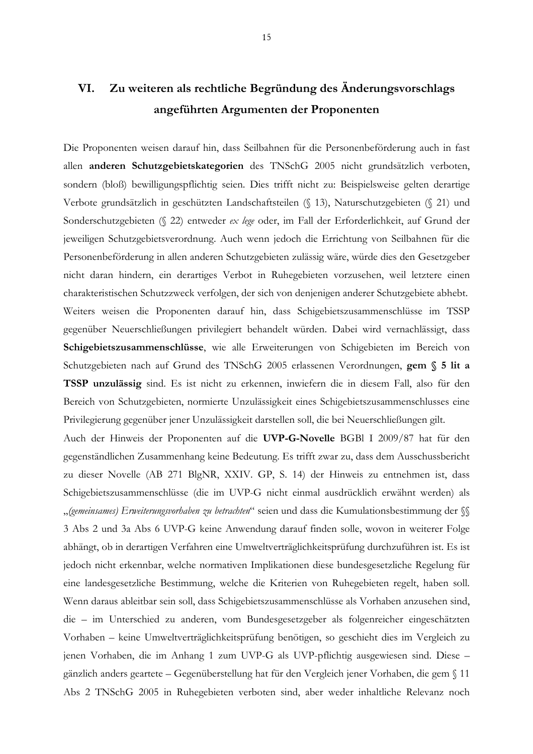Die Proponenten weisen darauf hin, dass Seilbahnen für die Personenbeförderung auch in fast allen anderen Schutzgebietskategorien des TNSchG 2005 nicht grundsätzlich verboten, sondern (bloß) bewilligungspflichtig seien. Dies trifft nicht zu: Beispielsweise gelten derartige Verbote grundsätzlich in geschützten Landschaftsteilen (§ 13), Naturschutzgebieten (§ 21) und Sonderschutzgebieten (§ 22) entweder ex lege oder, im Fall der Erforderlichkeit, auf Grund der jeweiligen Schutzgebietsverordnung. Auch wenn jedoch die Errichtung von Seilbahnen für die Personenbeförderung in allen anderen Schutzgebieten zulässig wäre, würde dies den Gesetzgeber nicht daran hindern, ein derartiges Verbot in Ruhegebieten vorzusehen, weil letztere einen charakteristischen Schutzzweck verfolgen, der sich von denjenigen anderer Schutzgebiete abhebt. Weiters weisen die Proponenten darauf hin, dass Schigebietszusammenschlüsse im TSSP gegenüber Neuerschließungen privilegiert behandelt würden. Dabei wird vernachlässigt, dass Schigebietszusammenschlüsse, wie alle Erweiterungen von Schigebieten im Bereich von Schutzgebieten nach auf Grund des TNSchG 2005 erlassenen Verordnungen, gem § 5 lit a TSSP unzulässig sind. Es ist nicht zu erkennen, inwiefern die in diesem Fall, also für den Bereich von Schutzgebieten, normierte Unzulässigkeit eines Schigebietszusammenschlusses eine Privilegierung gegenüber jener Unzulässigkeit darstellen soll, die bei Neuerschließungen gilt.

Auch der Hinweis der Proponenten auf die UVP-G-Novelle BGBI I 2009/87 hat für den gegenständlichen Zusammenhang keine Bedeutung. Es trifft zwar zu, dass dem Ausschussbericht zu dieser Novelle (AB 271 BlgNR, XXIV. GP, S. 14) der Hinweis zu entnehmen ist, dass Schigebietszusammenschlüsse (die im UVP-G nicht einmal ausdrücklich erwähnt werden) als "(gemeinsames) Erweiterungsvorhaben zu betrachten" seien und dass die Kumulationsbestimmung der SS 3 Abs 2 und 3a Abs 6 UVP-G keine Anwendung darauf finden solle, wovon in weiterer Folge abhängt, ob in derartigen Verfahren eine Umweltverträglichkeitsprüfung durchzuführen ist. Es ist jedoch nicht erkennbar, welche normativen Implikationen diese bundesgesetzliche Regelung für eine landesgesetzliche Bestimmung, welche die Kriterien von Ruhegebieten regelt, haben soll. Wenn daraus ableitbar sein soll, dass Schigebietszusammenschlüsse als Vorhaben anzusehen sind, die - im Unterschied zu anderen, vom Bundesgesetzgeber als folgenreicher eingeschätzten Vorhaben - keine Umweltverträglichkeitsprüfung benötigen, so geschieht dies im Vergleich zu jenen Vorhaben, die im Anhang 1 zum UVP-G als UVP-pflichtig ausgewiesen sind. Diese gänzlich anders geartete – Gegenüberstellung hat für den Vergleich jener Vorhaben, die gem § 11 Abs 2 TNSchG 2005 in Ruhegebieten verboten sind, aber weder inhaltliche Relevanz noch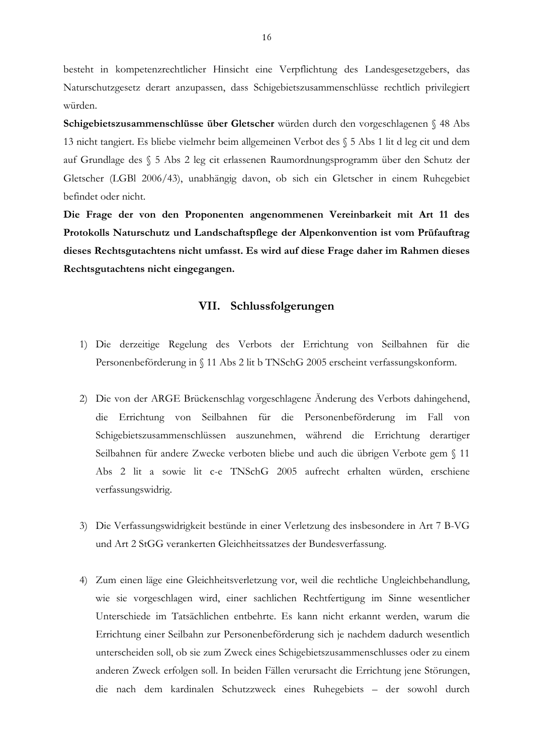besteht in kompetenzrechtlicher Hinsicht eine Verpflichtung des Landesgesetzgebers, das Naturschutzgesetz derart anzupassen, dass Schigebietszusammenschlüsse rechtlich privilegiert würden

Schigebietszusammenschlüsse über Gletscher würden durch den vorgeschlagenen § 48 Abs 13 nicht tangiert. Es bliebe vielmehr beim allgemeinen Verbot des § 5 Abs 1 lit d leg cit und dem auf Grundlage des § 5 Abs 2 leg cit erlassenen Raumordnungsprogramm über den Schutz der Gletscher (LGBI 2006/43), unabhängig davon, ob sich ein Gletscher in einem Ruhegebiet befindet oder nicht.

Die Frage der von den Proponenten angenommenen Vereinbarkeit mit Art 11 des Protokolls Naturschutz und Landschaftspflege der Alpenkonvention ist vom Prüfauftrag dieses Rechtsgutachtens nicht umfasst. Es wird auf diese Frage daher im Rahmen dieses Rechtsgutachtens nicht eingegangen.

### VII. Schlussfolgerungen

- 1) Die derzeitige Regelung des Verbots der Errichtung von Seilbahnen für die Personenbeförderung in § 11 Abs 2 lit b TNSchG 2005 erscheint verfassungskonform.
- 2) Die von der ARGE Brückenschlag vorgeschlagene Änderung des Verbots dahingehend, die Errichtung von Seilbahnen für die Personenbeförderung im Fall von Schigebietszusammenschlüssen auszunehmen, während die Errichtung derartiger Seilbahnen für andere Zwecke verboten bliebe und auch die übrigen Verbote gem § 11 Abs 2 lit a sowie lit c-e TNSchG 2005 aufrecht erhalten würden, erschiene verfassungswidrig.
- 3) Die Verfassungswidrigkeit bestünde in einer Verletzung des insbesondere in Art 7 B-VG und Art 2 StGG verankerten Gleichheitssatzes der Bundesverfassung.
- 4) Zum einen läge eine Gleichheitsverletzung vor, weil die rechtliche Ungleichbehandlung, wie sie vorgeschlagen wird, einer sachlichen Rechtfertigung im Sinne wesentlicher Unterschiede im Tatsächlichen entbehrte. Es kann nicht erkannt werden, warum die Errichtung einer Seilbahn zur Personenbeförderung sich je nachdem dadurch wesentlich unterscheiden soll, ob sie zum Zweck eines Schigebietszusammenschlusses oder zu einem anderen Zweck erfolgen soll. In beiden Fällen verursacht die Errichtung jene Störungen, die nach dem kardinalen Schutzzweck eines Ruhegebiets - der sowohl durch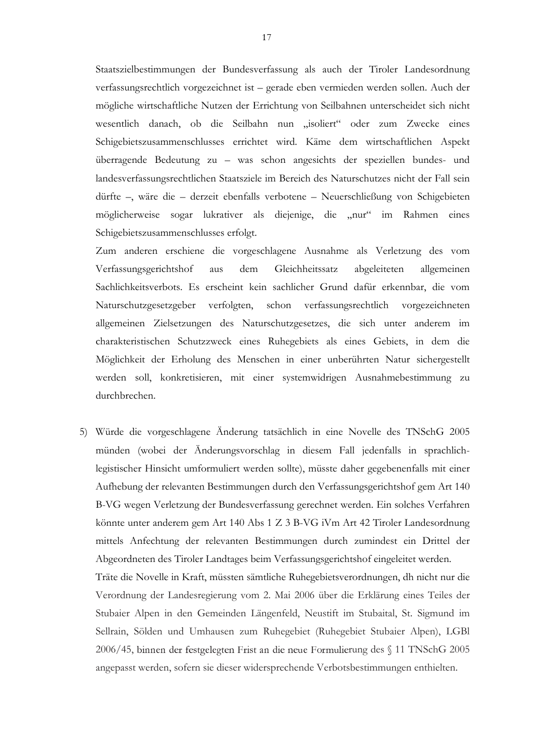Staatszielbestimmungen der Bundesverfassung als auch der Tiroler Landesordnung verfassungsrechtlich vorgezeichnet ist – gerade eben vermieden werden sollen. Auch der mögliche wirtschaftliche Nutzen der Errichtung von Seilbahnen unterscheidet sich nicht wesentlich danach, ob die Seilbahn nun "isoliert" oder zum Zwecke eines Schigebietszusammenschlusses errichtet wird. Käme dem wirtschaftlichen Aspekt überragende Bedeutung zu - was schon angesichts der speziellen bundes- und landesverfassungsrechtlichen Staatsziele im Bereich des Naturschutzes nicht der Fall sein dürfte –, wäre die – derzeit ebenfalls verbotene – Neuerschließung von Schigebieten möglicherweise sogar lukrativer als diejenige, die "nur" im Rahmen eines Schigebietszusammenschlusses erfolgt.

Zum anderen erschiene die vorgeschlagene Ausnahme als Verletzung des vom Verfassungsgerichtshof aus dem Gleichheitssatz abgeleiteten allgemeinen Sachlichkeitsverbots. Es erscheint kein sachlicher Grund dafür erkennbar, die vom Naturschutzgesetzgeber verfolgten, schon verfassungsrechtlich vorgezeichneten allgemeinen Zielsetzungen des Naturschutzgesetzes, die sich unter anderem im charakteristischen Schutzzweck eines Ruhegebiets als eines Gebiets, in dem die Möglichkeit der Erholung des Menschen in einer unberührten Natur sichergestellt werden soll, konkretisieren, mit einer systemwidrigen Ausnahmebestimmung zu durchbrechen.

5) Würde die vorgeschlagene Änderung tatsächlich in eine Novelle des TNSchG 2005 münden (wobei der Änderungsvorschlag in diesem Fall jedenfalls in sprachlichlegistischer Hinsicht umformuliert werden sollte), müsste daher gegebenenfalls mit einer Aufhebung der relevanten Bestimmungen durch den Verfassungsgerichtshof gem Art 140 B-VG wegen Verletzung der Bundesverfassung gerechnet werden. Ein solches Verfahren könnte unter anderem gem Art 140 Abs 1 Z 3 B-VG iVm Art 42 Tiroler Landesordnung mittels Anfechtung der relevanten Bestimmungen durch zumindest ein Drittel der Abgeordneten des Tiroler Landtages beim Verfassungsgerichtshof eingeleitet werden.

Träte die Novelle in Kraft, müssten sämtliche Ruhegebietsverordnungen, dh nicht nur die Verordnung der Landesregierung vom 2. Mai 2006 über die Erklärung eines Teiles der Stubaier Alpen in den Gemeinden Längenfeld, Neustift im Stubaital, St. Sigmund im Sellrain, Sölden und Umhausen zum Ruhegebiet (Ruhegebiet Stubaier Alpen), LGBI 2006/45, binnen der festgelegten Frist an die neue Formulierung des § 11 TNSchG 2005 angepasst werden, sofern sie dieser widersprechende Verbotsbestimmungen enthielten.